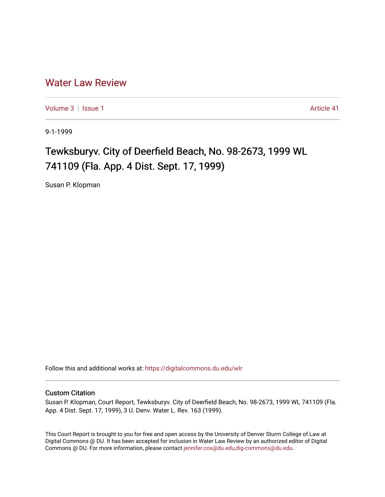## [Water Law Review](https://digitalcommons.du.edu/wlr)

[Volume 3](https://digitalcommons.du.edu/wlr/vol3) | [Issue 1](https://digitalcommons.du.edu/wlr/vol3/iss1) Article 41

9-1-1999

## Tewksburyv. City of Deerfield Beach, No. 98-2673, 1999 WL 741109 (Fla. App. 4 Dist. Sept. 17, 1999)

Susan P. Klopman

Follow this and additional works at: [https://digitalcommons.du.edu/wlr](https://digitalcommons.du.edu/wlr?utm_source=digitalcommons.du.edu%2Fwlr%2Fvol3%2Fiss1%2F41&utm_medium=PDF&utm_campaign=PDFCoverPages) 

## Custom Citation

Susan P. Klopman, Court Report, Tewksburyv. City of Deerfield Beach, No. 98-2673, 1999 WL 741109 (Fla. App. 4 Dist. Sept. 17, 1999), 3 U. Denv. Water L. Rev. 163 (1999).

This Court Report is brought to you for free and open access by the University of Denver Sturm College of Law at Digital Commons @ DU. It has been accepted for inclusion in Water Law Review by an authorized editor of Digital Commons @ DU. For more information, please contact [jennifer.cox@du.edu,dig-commons@du.edu.](mailto:jennifer.cox@du.edu,dig-commons@du.edu)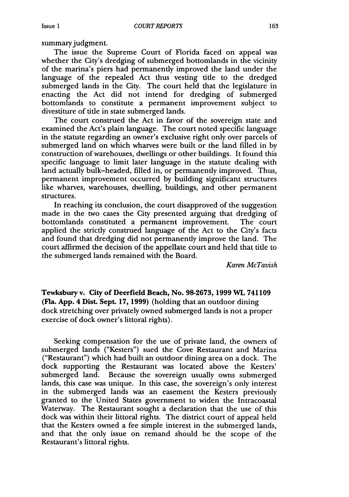summary judgment.

The issue the Supreme Court of Florida faced on appeal was whether the City's dredging of submerged bottomlands in the vicinity of the marina's piers had permanently improved the land under the language of the repealed Act thus vesting title to the dredged submerged lands in the City. The court held that the legislature in enacting the Act did not intend for dredging of submerged bottomlands to constitute a permanent improvement subject to divestiture of tide in state submerged lands.

The court construed the Act in favor of the sovereign state and examined the Act's plain language. The court noted specific language in the statute regarding an owner's exclusive right only over parcels of submerged land on which wharves were built or the land filled in by construction of warehouses, dwellings or other buildings. It found this specific language to limit later language in the statute dealing with land actually bulk-headed, filled in, or permanently improved. Thus, permanent improvement occurred by building significant structures like wharves, warehouses, dwelling, buildings, and other permanent structures.

In reaching its conclusion, the court disapproved of the suggestion made in the two cases the City presented arguing that dredging of bottomlands constituted a permanent improvement. The court applied the strictly construed language of the Act to the City's facts and found that dredging did not permanently improve the land. The court affirmed the decision of the appellate court and held that title to the submerged lands remained with the Board.

*Karen McTavish*

**Tewksbury v. City of Deerfield Beach, No. 98-2673, 1999 WL 741109 (Fla. App. 4 Dist. Sept. 17, 1999) (holding that an outdoor dining** dock stretching over privately owned submerged lands is not a proper exercise of dock owner's littoral rights).

Seeking compensation for the use of private land, the owners of submerged lands ("Kesters") sued the Cove Restaurant and Marina ("Restaurant") which had built an outdoor dining area on a dock. The dock supporting the Restaurant was located above the Kesters' submerged land. Because the sovereign usually owns submerged lands, this case was unique. In this case, the sovereign's only interest in the submerged lands was an easement the Kesters previously granted to the United States government to widen the Intracoastal Waterway. The Restaurant sought a declaration that the use of this dock was within their littoral rights. The district court of appeal held that the Kesters owned a fee simple interest in the submerged lands, and that the only issue on remand should be the scope of the Restaurant's littoral rights.